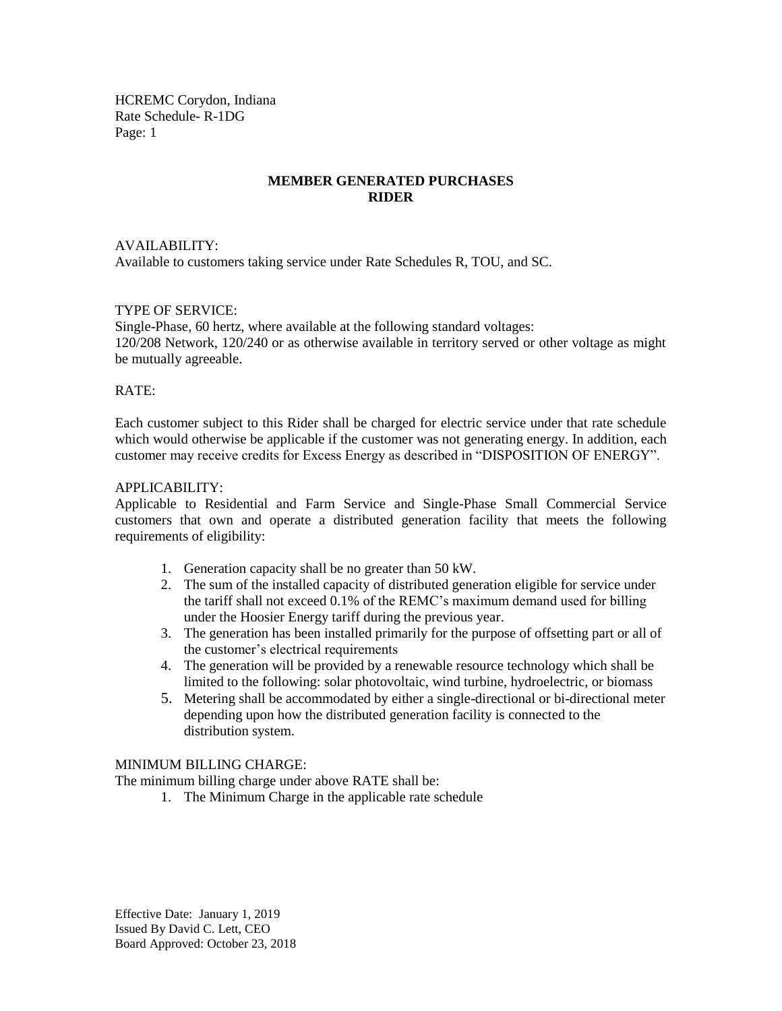HCREMC Corydon, Indiana Rate Schedule- R-1DG Page: 1

### **MEMBER GENERATED PURCHASES RIDER**

#### AVAILABILITY:

Available to customers taking service under Rate Schedules R, TOU, and SC.

#### TYPE OF SERVICE:

Single-Phase, 60 hertz, where available at the following standard voltages: 120/208 Network, 120/240 or as otherwise available in territory served or other voltage as might be mutually agreeable.

#### RATE:

Each customer subject to this Rider shall be charged for electric service under that rate schedule which would otherwise be applicable if the customer was not generating energy. In addition, each customer may receive credits for Excess Energy as described in "DISPOSITION OF ENERGY".

#### APPLICABILITY:

Applicable to Residential and Farm Service and Single-Phase Small Commercial Service customers that own and operate a distributed generation facility that meets the following requirements of eligibility:

- 1. Generation capacity shall be no greater than 50 kW.
- 2. The sum of the installed capacity of distributed generation eligible for service under the tariff shall not exceed 0.1% of the REMC's maximum demand used for billing under the Hoosier Energy tariff during the previous year.
- 3. The generation has been installed primarily for the purpose of offsetting part or all of the customer's electrical requirements
- 4. The generation will be provided by a renewable resource technology which shall be limited to the following: solar photovoltaic, wind turbine, hydroelectric, or biomass
- 5. Metering shall be accommodated by either a single-directional or bi-directional meter depending upon how the distributed generation facility is connected to the distribution system.

#### MINIMUM BILLING CHARGE:

The minimum billing charge under above RATE shall be:

1. The Minimum Charge in the applicable rate schedule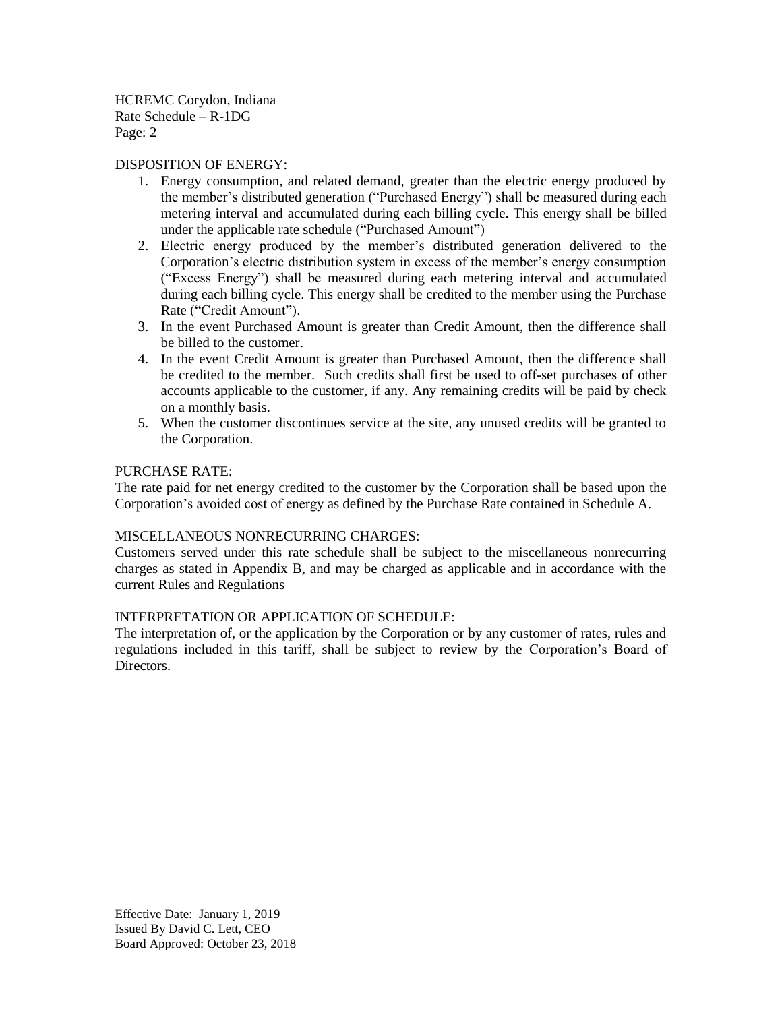HCREMC Corydon, Indiana Rate Schedule – R-1DG Page: 2

#### DISPOSITION OF ENERGY:

- 1. Energy consumption, and related demand, greater than the electric energy produced by the member's distributed generation ("Purchased Energy") shall be measured during each metering interval and accumulated during each billing cycle. This energy shall be billed under the applicable rate schedule ("Purchased Amount")
- 2. Electric energy produced by the member's distributed generation delivered to the Corporation's electric distribution system in excess of the member's energy consumption ("Excess Energy") shall be measured during each metering interval and accumulated during each billing cycle. This energy shall be credited to the member using the Purchase Rate ("Credit Amount").
- 3. In the event Purchased Amount is greater than Credit Amount, then the difference shall be billed to the customer.
- 4. In the event Credit Amount is greater than Purchased Amount, then the difference shall be credited to the member. Such credits shall first be used to off-set purchases of other accounts applicable to the customer, if any. Any remaining credits will be paid by check on a monthly basis.
- 5. When the customer discontinues service at the site, any unused credits will be granted to the Corporation.

#### PURCHASE RATE:

The rate paid for net energy credited to the customer by the Corporation shall be based upon the Corporation's avoided cost of energy as defined by the Purchase Rate contained in Schedule A.

## MISCELLANEOUS NONRECURRING CHARGES:

Customers served under this rate schedule shall be subject to the miscellaneous nonrecurring charges as stated in Appendix B, and may be charged as applicable and in accordance with the current Rules and Regulations

#### INTERPRETATION OR APPLICATION OF SCHEDULE:

The interpretation of, or the application by the Corporation or by any customer of rates, rules and regulations included in this tariff, shall be subject to review by the Corporation's Board of Directors.